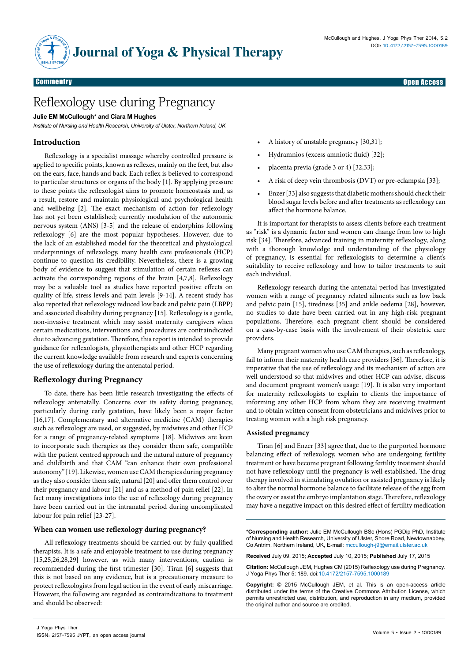#### Research Article Open Access Commentry Open Access

# Reflexology use during Pregnancy

#### **Julie EM McCullough\* and Ciara M Hughes**

*Institute of Nursing and Health Research, University of Ulster, Northern Ireland, UK*

## **Introduction**

Reflexology is a specialist massage whereby controlled pressure is applied to specific points, known as reflexes, mainly on the feet, but also on the ears, face, hands and back. Each reflex is believed to correspond to particular structures or organs of the body [1]. By applying pressure to these points the reflexologist aims to promote homeostasis and, as a result, restore and maintain physiological and psychological health and wellbeing [2]. The exact mechanism of action for reflexology has not yet been established; currently modulation of the autonomic nervous system (ANS) [3-5] and the release of endorphins following reflexology [6] are the most popular hypotheses. However, due to the lack of an established model for the theoretical and physiological underpinnings of reflexology, many health care professionals (HCP) continue to question its credibility. Nevertheless, there is a growing body of evidence to suggest that stimulation of certain reflexes can activate the corresponding regions of the brain [4,7,8]. Reflexology may be a valuable tool as studies have reported positive effects on quality of life, stress levels and pain levels [9-14]. A recent study has also reported that reflexology reduced low back and pelvic pain (LBPP) and associated disability during pregnancy [15]. Reflexology is a gentle, non-invasive treatment which may assist maternity caregivers when certain medications, interventions and procedures are contraindicated due to advancing gestation. Therefore, this report is intended to provide guidance for reflexologists, physiotherapists and other HCP regarding the current knowledge available from research and experts concerning the use of reflexology during the antenatal period.

### **Reflexology during Pregnancy**

To date, there has been little research investigating the effects of reflexology antenatally. Concerns over its safety during pregnancy, particularly during early gestation, have likely been a major factor [16,17]. Complementary and alternative medicine (CAM) therapies such as reflexology are used, or suggested, by midwives and other HCP for a range of pregnancy-related symptoms [18]. Midwives are keen to incorporate such therapies as they consider them safe, compatible with the patient centred approach and the natural nature of pregnancy and childbirth and that CAM "can enhance their own professional autonomy" [19]. Likewise, women use CAM therapies during pregnancy as they also consider them safe, natural [20] and offer them control over their pregnancy and labour [21] and as a method of pain relief [22]. In fact many investigations into the use of reflexology during pregnancy have been carried out in the intranatal period during uncomplicated labour for pain relief [23-27].

#### **When can women use reflexology during pregnancy?**

All reflexology treatments should be carried out by fully qualified therapists. It is a safe and enjoyable treatment to use during pregnancy [15,25,26,28,29] however, as with many interventions, caution is recommended during the first trimester [30]. Tiran [6] suggests that this is not based on any evidence, but is a precautionary measure to protect reflexologists from legal action in the event of early miscarriage. However, the following are regarded as contraindications to treatment and should be observed:

- A history of unstable pregnancy [30,31];
- Hydramnios (excess amniotic fluid) [32];
- placenta previa (grade 3 or 4) [32,33];
- A risk of deep vein thrombosis (DVT) or pre-eclampsia [33];
- Enzer [33] also suggests that diabetic mothers should check their blood sugar levels before and after treatments as reflexology can affect the hormone balance.

It is important for therapists to assess clients before each treatment as "risk" is a dynamic factor and women can change from low to high risk [34]. Therefore, advanced training in maternity reflexology, along with a thorough knowledge and understanding of the physiology of pregnancy, is essential for reflexologists to determine a client's suitability to receive reflexology and how to tailor treatments to suit each individual.

Reflexology research during the antenatal period has investigated women with a range of pregnancy related ailments such as low back and pelvic pain [15], tiredness [35] and ankle oedema [28], however, no studies to date have been carried out in any high-risk pregnant populations. Therefore, each pregnant client should be considered on a case-by-case basis with the involvement of their obstetric care providers.

Many pregnant women who use CAM therapies, such as reflexology, fail to inform their maternity health care providers [36]. Therefore, it is imperative that the use of reflexology and its mechanism of action are well understood so that midwives and other HCP can advise, discuss and document pregnant women's usage [19]. It is also very important for maternity reflexologists to explain to clients the importance of informing any other HCP from whom they are receiving treatment and to obtain written consent from obstetricians and midwives prior to treating women with a high risk pregnancy.

#### **Assisted pregnancy**

Tiran [6] and Enzer [33] agree that, due to the purported hormone balancing effect of reflexology, women who are undergoing fertility treatment or have become pregnant following fertility treatment should not have reflexology until the pregnancy is well established. The drug therapy involved in stimulating ovulation or assisted pregnancy is likely to alter the normal hormone balance to facilitate release of the egg from the ovary or assist the embryo implantation stage. Therefore, reflexology may have a negative impact on this desired effect of fertility medication

**\*Corresponding author:** Julie EM McCullough BSc (Hons) PGDip PhD, Institute of Nursing and Health Research, University of Ulster, Shore Road, Newtownabbey, Co Antrim, Northern Ireland, UK, E-mail: mccullough-j9@email.ulster.ac.uk

**Received** July 09, 2015; **Accepted** July 10, 2015; **Published** July 17, 2015

**Citation:** McCullough JEM, Hughes CM (2015) Reflexology use during Pregnancy. J Yoga Phys Ther 5: 189. doi:10.4172/2157-7595.1000189

**Copyright:** © 2015 McCullough JEM, et al. This is an open-access article distributed under the terms of the Creative Commons Attribution License, which permits unrestricted use, distribution, and reproduction in any medium, provided the original author and source are credited.